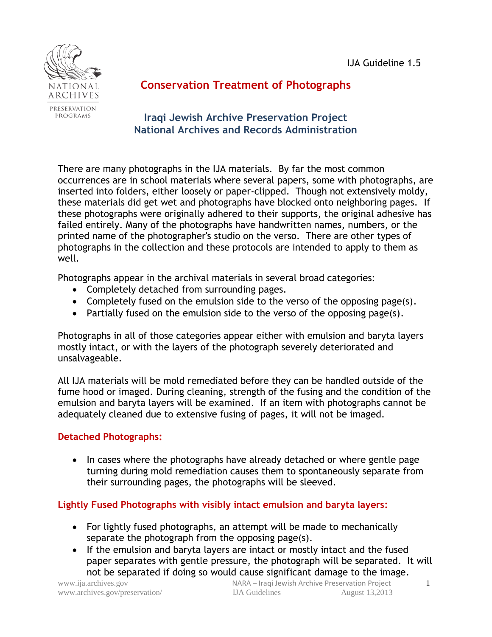

# **Conservation Treatment of Photographs**

## **Iraqi Jewish Archive Preservation Project National Archives and Records Administration**

There are many photographs in the IJA materials. By far the most common occurrences are in school materials where several papers, some with photographs, are inserted into folders, either loosely or paper-clipped. Though not extensively moldy, these materials did get wet and photographs have blocked onto neighboring pages. If these photographs were originally adhered to their supports, the original adhesive has failed entirely. Many of the photographs have handwritten names, numbers, or the printed name of the photographer's studio on the verso. There are other types of photographs in the collection and these protocols are intended to apply to them as well.

Photographs appear in the archival materials in several broad categories:

- Completely detached from surrounding pages.
- Completely fused on the emulsion side to the verso of the opposing page(s).
- Partially fused on the emulsion side to the verso of the opposing page(s).

Photographs in all of those categories appear either with emulsion and baryta layers mostly intact, or with the layers of the photograph severely deteriorated and unsalvageable.

All IJA materials will be mold remediated before they can be handled outside of the fume hood or imaged. During cleaning, strength of the fusing and the condition of the emulsion and baryta layers will be examined. If an item with photographs cannot be adequately cleaned due to extensive fusing of pages, it will not be imaged.

### **Detached Photographs:**

• In cases where the photographs have already detached or where gentle page turning during mold remediation causes them to spontaneously separate from their surrounding pages, the photographs will be sleeved.

### **Lightly Fused Photographs with visibly intact emulsion and baryta layers:**

- For lightly fused photographs, an attempt will be made to mechanically separate the photograph from the opposing page(s).
- If the emulsion and baryta layers are intact or mostly intact and the fused paper separates with gentle pressure, the photograph will be separated. It will not be separated if doing so would cause significant damage to the image.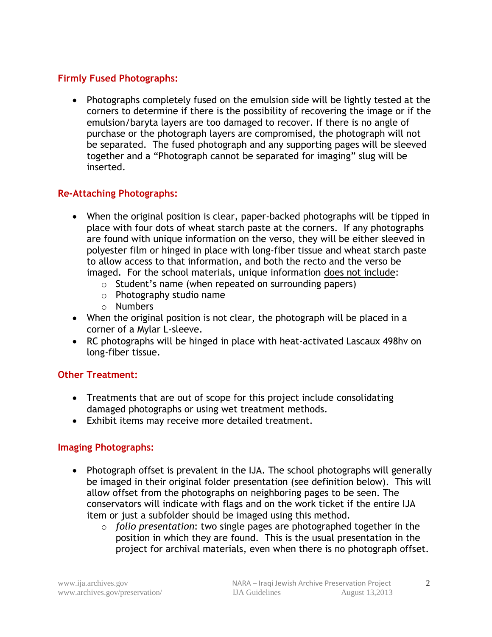### **Firmly Fused Photographs:**

 Photographs completely fused on the emulsion side will be lightly tested at the corners to determine if there is the possibility of recovering the image or if the emulsion/baryta layers are too damaged to recover. If there is no angle of purchase or the photograph layers are compromised, the photograph will not be separated. The fused photograph and any supporting pages will be sleeved together and a "Photograph cannot be separated for imaging" slug will be inserted.

### **Re-Attaching Photographs:**

- When the original position is clear, paper-backed photographs will be tipped in place with four dots of wheat starch paste at the corners. If any photographs are found with unique information on the verso, they will be either sleeved in polyester film or hinged in place with long-fiber tissue and wheat starch paste to allow access to that information, and both the recto and the verso be imaged. For the school materials, unique information does not include:
	- o Student's name (when repeated on surrounding papers)
	- o Photography studio name
	- o Numbers
- When the original position is not clear, the photograph will be placed in a corner of a Mylar L-sleeve.
- RC photographs will be hinged in place with heat-activated Lascaux 498hv on long-fiber tissue.

### **Other Treatment:**

- Treatments that are out of scope for this project include consolidating damaged photographs or using wet treatment methods.
- Exhibit items may receive more detailed treatment.

### **Imaging Photographs:**

- Photograph offset is prevalent in the IJA. The school photographs will generally be imaged in their original folder presentation (see definition below). This will allow offset from the photographs on neighboring pages to be seen. The conservators will indicate with flags and on the work ticket if the entire IJA item or just a subfolder should be imaged using this method.
	- o *folio presentation*: two single pages are photographed together in the position in which they are found. This is the usual presentation in the project for archival materials, even when there is no photograph offset.